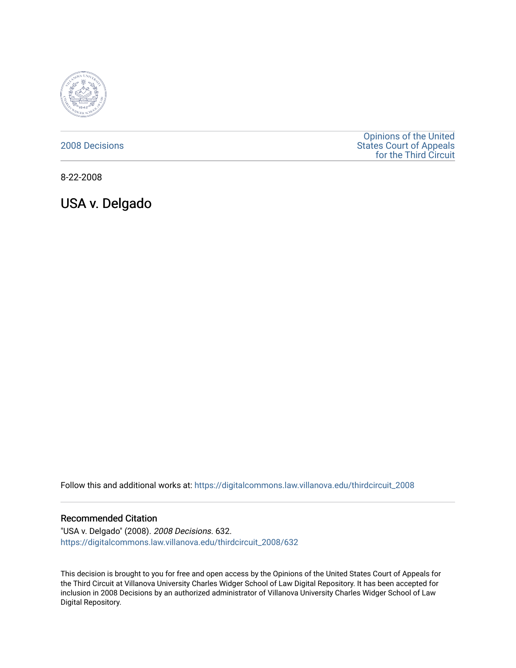

### [2008 Decisions](https://digitalcommons.law.villanova.edu/thirdcircuit_2008)

[Opinions of the United](https://digitalcommons.law.villanova.edu/thirdcircuit)  [States Court of Appeals](https://digitalcommons.law.villanova.edu/thirdcircuit)  [for the Third Circuit](https://digitalcommons.law.villanova.edu/thirdcircuit) 

8-22-2008

USA v. Delgado

Follow this and additional works at: [https://digitalcommons.law.villanova.edu/thirdcircuit\\_2008](https://digitalcommons.law.villanova.edu/thirdcircuit_2008?utm_source=digitalcommons.law.villanova.edu%2Fthirdcircuit_2008%2F632&utm_medium=PDF&utm_campaign=PDFCoverPages) 

#### Recommended Citation

"USA v. Delgado" (2008). 2008 Decisions. 632. [https://digitalcommons.law.villanova.edu/thirdcircuit\\_2008/632](https://digitalcommons.law.villanova.edu/thirdcircuit_2008/632?utm_source=digitalcommons.law.villanova.edu%2Fthirdcircuit_2008%2F632&utm_medium=PDF&utm_campaign=PDFCoverPages)

This decision is brought to you for free and open access by the Opinions of the United States Court of Appeals for the Third Circuit at Villanova University Charles Widger School of Law Digital Repository. It has been accepted for inclusion in 2008 Decisions by an authorized administrator of Villanova University Charles Widger School of Law Digital Repository.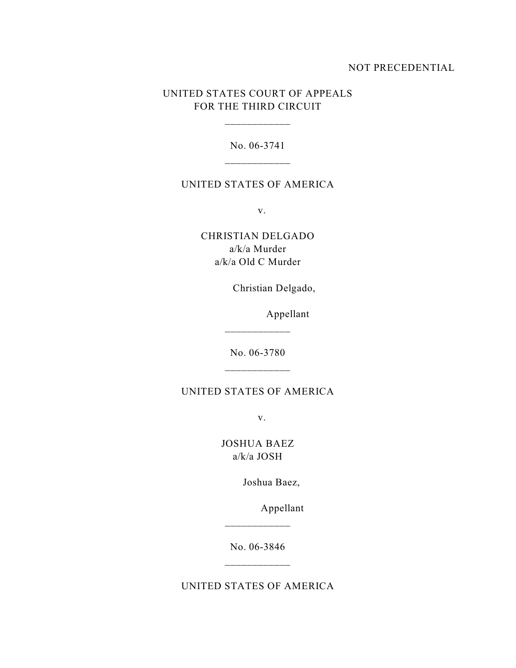### NOT PRECEDENTIAL

# UNITED STATES COURT OF APPEALS FOR THE THIRD CIRCUIT

\_\_\_\_\_\_\_\_\_\_\_\_

No. 06-3741

### UNITED STATES OF AMERICA

v.

CHRISTIAN DELGADO a/k/a Murder a/k/a Old C Murder

Christian Delgado,

Appellant

No. 06-3780 \_\_\_\_\_\_\_\_\_\_\_\_

\_\_\_\_\_\_\_\_\_\_\_\_

# UNITED STATES OF AMERICA

v.

JOSHUA BAEZ a/k/a JOSH

Joshua Baez,

Appellant

No. 06-3846

\_\_\_\_\_\_\_\_\_\_\_\_

UNITED STATES OF AMERICA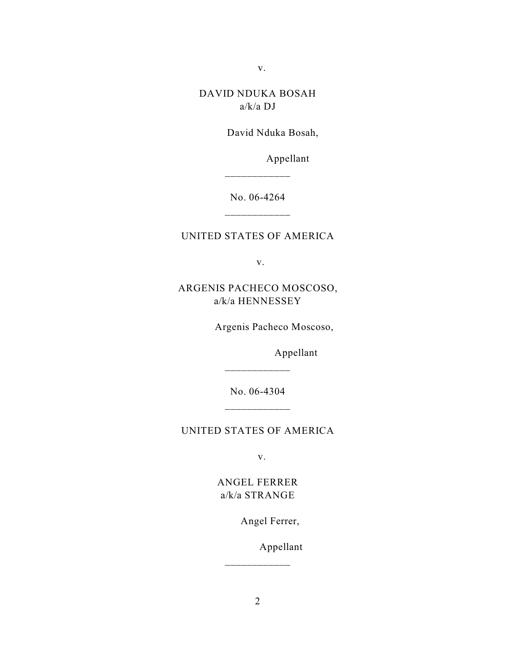v.

# DAVID NDUKA BOSAH a/k/a DJ

David Nduka Bosah,

Appellant

No. 06-4264

\_\_\_\_\_\_\_\_\_\_\_\_

### UNITED STATES OF AMERICA

v.

ARGENIS PACHECO MOSCOSO, a/k/a HENNESSEY

Argenis Pacheco Moscoso,

Appellant

No. 06-4304 \_\_\_\_\_\_\_\_\_\_\_\_

\_\_\_\_\_\_\_\_\_\_\_\_

### UNITED STATES OF AMERICA

v.

# ANGEL FERRER a/k/a STRANGE

Angel Ferrer,

Appellant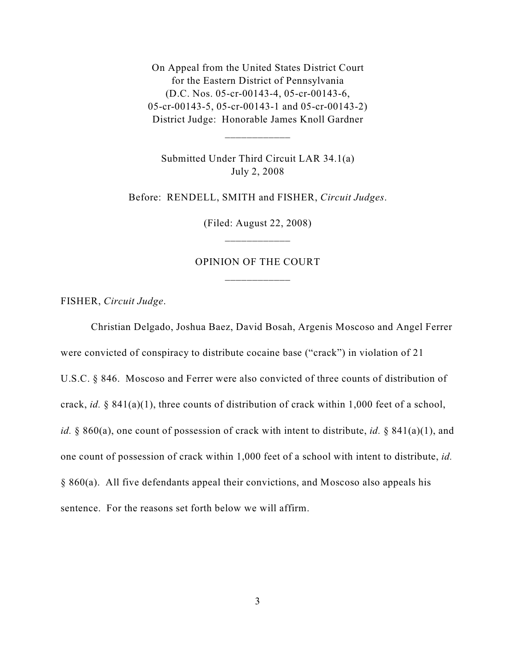On Appeal from the United States District Court for the Eastern District of Pennsylvania (D.C. Nos. 05-cr-00143-4, 05-cr-00143-6, 05-cr-00143-5, 05-cr-00143-1 and 05-cr-00143-2) District Judge: Honorable James Knoll Gardner

Submitted Under Third Circuit LAR 34.1(a) July 2, 2008

\_\_\_\_\_\_\_\_\_\_\_\_

Before: RENDELL, SMITH and FISHER, *Circuit Judges*.

(Filed: August 22, 2008)

## OPINION OF THE COURT \_\_\_\_\_\_\_\_\_\_\_\_

FISHER, *Circuit Judge*.

Christian Delgado, Joshua Baez, David Bosah, Argenis Moscoso and Angel Ferrer were convicted of conspiracy to distribute cocaine base ("crack") in violation of 21 U.S.C. § 846. Moscoso and Ferrer were also convicted of three counts of distribution of crack, *id.* § 841(a)(1), three counts of distribution of crack within 1,000 feet of a school, *id.* § 860(a), one count of possession of crack with intent to distribute, *id.* § 841(a)(1), and one count of possession of crack within 1,000 feet of a school with intent to distribute, *id.* § 860(a). All five defendants appeal their convictions, and Moscoso also appeals his sentence. For the reasons set forth below we will affirm.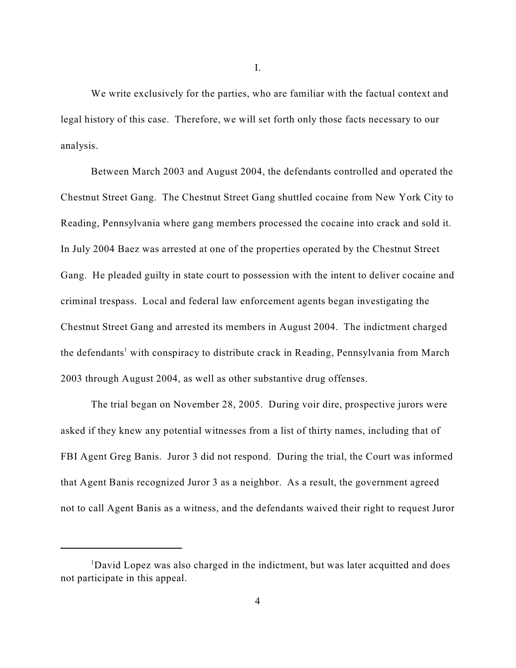We write exclusively for the parties, who are familiar with the factual context and legal history of this case. Therefore, we will set forth only those facts necessary to our analysis.

Between March 2003 and August 2004, the defendants controlled and operated the Chestnut Street Gang. The Chestnut Street Gang shuttled cocaine from New York City to Reading, Pennsylvania where gang members processed the cocaine into crack and sold it. In July 2004 Baez was arrested at one of the properties operated by the Chestnut Street Gang. He pleaded guilty in state court to possession with the intent to deliver cocaine and criminal trespass. Local and federal law enforcement agents began investigating the Chestnut Street Gang and arrested its members in August 2004. The indictment charged the defendants<sup>1</sup> with conspiracy to distribute crack in Reading, Pennsylvania from March 2003 through August 2004, as well as other substantive drug offenses.

The trial began on November 28, 2005. During voir dire, prospective jurors were asked if they knew any potential witnesses from a list of thirty names, including that of FBI Agent Greg Banis. Juror 3 did not respond. During the trial, the Court was informed that Agent Banis recognized Juror 3 as a neighbor. As a result, the government agreed not to call Agent Banis as a witness, and the defendants waived their right to request Juror

I.

<sup>&</sup>lt;sup>1</sup>David Lopez was also charged in the indictment, but was later acquitted and does not participate in this appeal.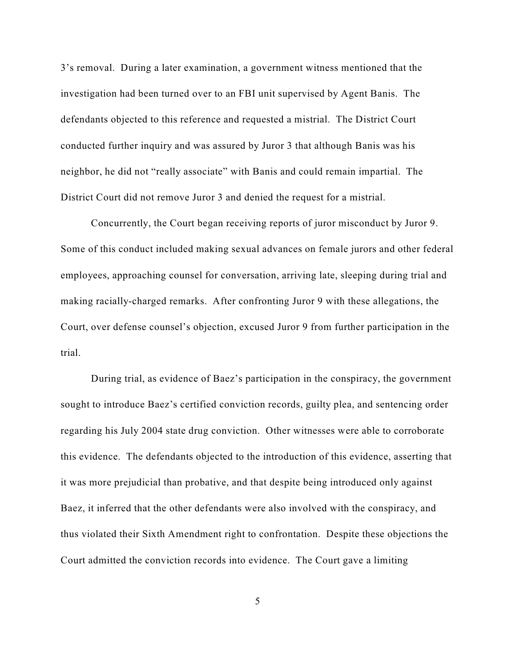3's removal. During a later examination, a government witness mentioned that the investigation had been turned over to an FBI unit supervised by Agent Banis. The defendants objected to this reference and requested a mistrial. The District Court conducted further inquiry and was assured by Juror 3 that although Banis was his neighbor, he did not "really associate" with Banis and could remain impartial. The District Court did not remove Juror 3 and denied the request for a mistrial.

Concurrently, the Court began receiving reports of juror misconduct by Juror 9. Some of this conduct included making sexual advances on female jurors and other federal employees, approaching counsel for conversation, arriving late, sleeping during trial and making racially-charged remarks. After confronting Juror 9 with these allegations, the Court, over defense counsel's objection, excused Juror 9 from further participation in the trial.

During trial, as evidence of Baez's participation in the conspiracy, the government sought to introduce Baez's certified conviction records, guilty plea, and sentencing order regarding his July 2004 state drug conviction. Other witnesses were able to corroborate this evidence. The defendants objected to the introduction of this evidence, asserting that it was more prejudicial than probative, and that despite being introduced only against Baez, it inferred that the other defendants were also involved with the conspiracy, and thus violated their Sixth Amendment right to confrontation. Despite these objections the Court admitted the conviction records into evidence. The Court gave a limiting

5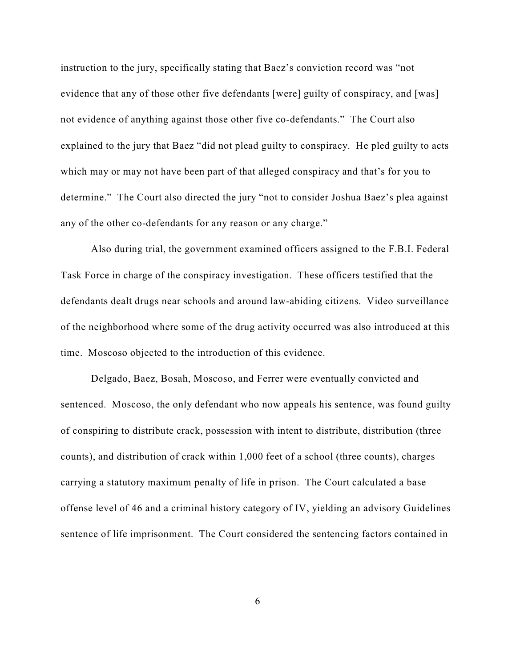instruction to the jury, specifically stating that Baez's conviction record was "not evidence that any of those other five defendants [were] guilty of conspiracy, and [was] not evidence of anything against those other five co-defendants." The Court also explained to the jury that Baez "did not plead guilty to conspiracy. He pled guilty to acts which may or may not have been part of that alleged conspiracy and that's for you to determine." The Court also directed the jury "not to consider Joshua Baez's plea against any of the other co-defendants for any reason or any charge."

Also during trial, the government examined officers assigned to the F.B.I. Federal Task Force in charge of the conspiracy investigation. These officers testified that the defendants dealt drugs near schools and around law-abiding citizens. Video surveillance of the neighborhood where some of the drug activity occurred was also introduced at this time. Moscoso objected to the introduction of this evidence.

Delgado, Baez, Bosah, Moscoso, and Ferrer were eventually convicted and sentenced. Moscoso, the only defendant who now appeals his sentence, was found guilty of conspiring to distribute crack, possession with intent to distribute, distribution (three counts), and distribution of crack within 1,000 feet of a school (three counts), charges carrying a statutory maximum penalty of life in prison. The Court calculated a base offense level of 46 and a criminal history category of IV, yielding an advisory Guidelines sentence of life imprisonment. The Court considered the sentencing factors contained in

6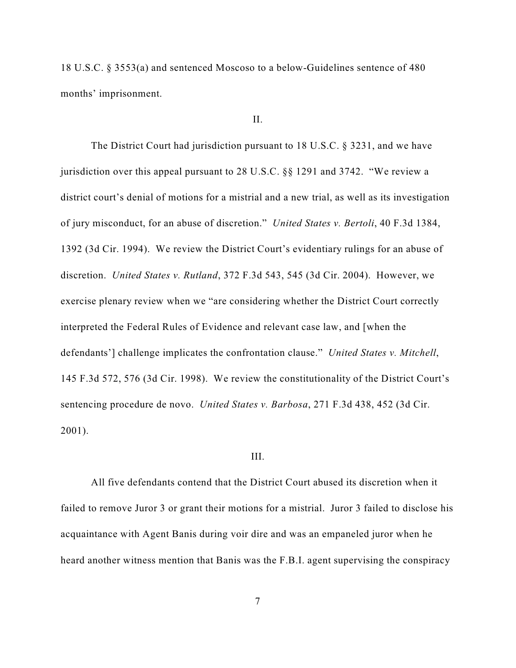18 U.S.C. § 3553(a) and sentenced Moscoso to a below-Guidelines sentence of 480 months' imprisonment.

#### II.

The District Court had jurisdiction pursuant to 18 U.S.C. § 3231, and we have jurisdiction over this appeal pursuant to 28 U.S.C. §§ 1291 and 3742. "We review a district court's denial of motions for a mistrial and a new trial, as well as its investigation of jury misconduct, for an abuse of discretion." *United States v. Bertoli*, 40 F.3d 1384, 1392 (3d Cir. 1994). We review the District Court's evidentiary rulings for an abuse of discretion. *United States v. Rutland*, 372 F.3d 543, 545 (3d Cir. 2004). However, we exercise plenary review when we "are considering whether the District Court correctly interpreted the Federal Rules of Evidence and relevant case law, and [when the defendants'] challenge implicates the confrontation clause." *United States v. Mitchell*, 145 F.3d 572, 576 (3d Cir. 1998). We review the constitutionality of the District Court's sentencing procedure de novo. *United States v. Barbosa*, 271 F.3d 438, 452 (3d Cir. 2001).

#### III.

All five defendants contend that the District Court abused its discretion when it failed to remove Juror 3 or grant their motions for a mistrial. Juror 3 failed to disclose his acquaintance with Agent Banis during voir dire and was an empaneled juror when he heard another witness mention that Banis was the F.B.I. agent supervising the conspiracy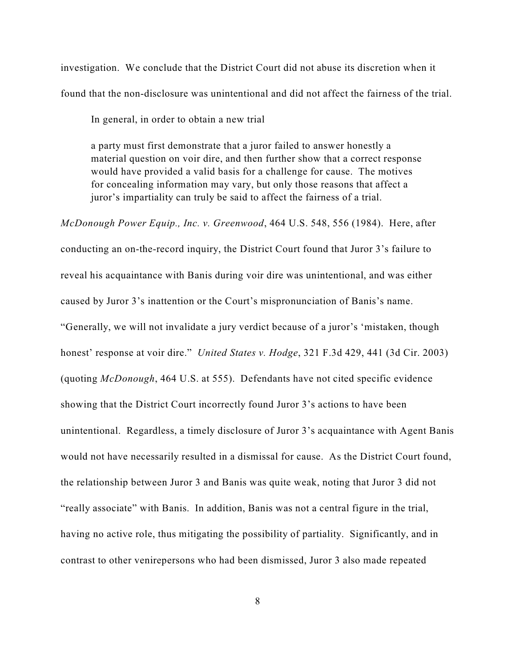investigation. We conclude that the District Court did not abuse its discretion when it found that the non-disclosure was unintentional and did not affect the fairness of the trial.

In general, in order to obtain a new trial

a party must first demonstrate that a juror failed to answer honestly a material question on voir dire, and then further show that a correct response would have provided a valid basis for a challenge for cause. The motives for concealing information may vary, but only those reasons that affect a juror's impartiality can truly be said to affect the fairness of a trial.

*McDonough Power Equip., Inc. v. Greenwood*, 464 U.S. 548, 556 (1984). Here, after conducting an on-the-record inquiry, the District Court found that Juror 3's failure to reveal his acquaintance with Banis during voir dire was unintentional, and was either caused by Juror 3's inattention or the Court's mispronunciation of Banis's name. "Generally, we will not invalidate a jury verdict because of a juror's 'mistaken, though honest' response at voir dire." *United States v. Hodge*, 321 F.3d 429, 441 (3d Cir. 2003) (quoting *McDonough*, 464 U.S. at 555). Defendants have not cited specific evidence showing that the District Court incorrectly found Juror 3's actions to have been unintentional. Regardless, a timely disclosure of Juror 3's acquaintance with Agent Banis would not have necessarily resulted in a dismissal for cause. As the District Court found, the relationship between Juror 3 and Banis was quite weak, noting that Juror 3 did not "really associate" with Banis. In addition, Banis was not a central figure in the trial, having no active role, thus mitigating the possibility of partiality. Significantly, and in contrast to other venirepersons who had been dismissed, Juror 3 also made repeated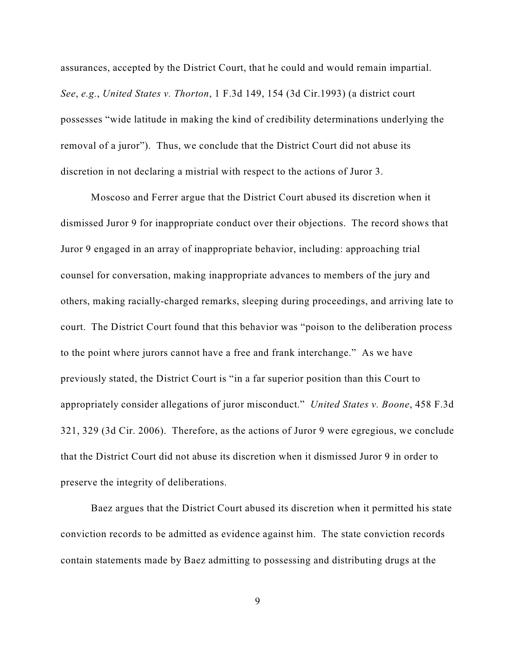assurances, accepted by the District Court, that he could and would remain impartial. *See*, *e.g.*, *United States v. Thorton*, 1 F.3d 149, 154 (3d Cir.1993) (a district court possesses "wide latitude in making the kind of credibility determinations underlying the removal of a juror"). Thus, we conclude that the District Court did not abuse its discretion in not declaring a mistrial with respect to the actions of Juror 3.

Moscoso and Ferrer argue that the District Court abused its discretion when it dismissed Juror 9 for inappropriate conduct over their objections. The record shows that Juror 9 engaged in an array of inappropriate behavior, including: approaching trial counsel for conversation, making inappropriate advances to members of the jury and others, making racially-charged remarks, sleeping during proceedings, and arriving late to court. The District Court found that this behavior was "poison to the deliberation process to the point where jurors cannot have a free and frank interchange." As we have previously stated, the District Court is "in a far superior position than this Court to appropriately consider allegations of juror misconduct." *United States v. Boone*, 458 F.3d 321, 329 (3d Cir. 2006). Therefore, as the actions of Juror 9 were egregious, we conclude that the District Court did not abuse its discretion when it dismissed Juror 9 in order to preserve the integrity of deliberations.

Baez argues that the District Court abused its discretion when it permitted his state conviction records to be admitted as evidence against him. The state conviction records contain statements made by Baez admitting to possessing and distributing drugs at the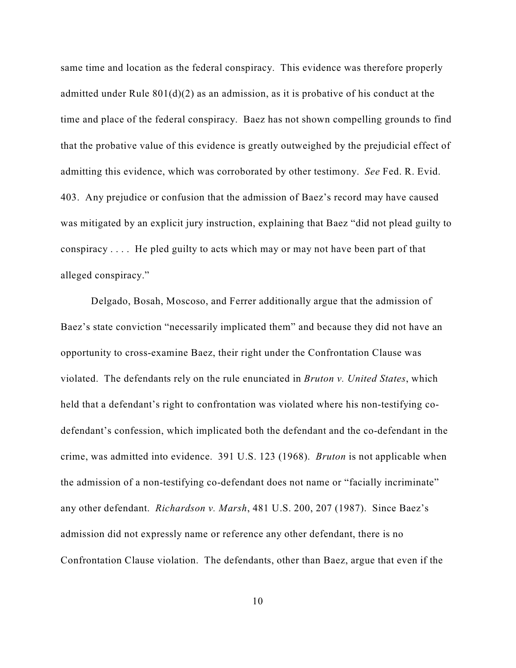same time and location as the federal conspiracy. This evidence was therefore properly admitted under Rule  $801(d)(2)$  as an admission, as it is probative of his conduct at the time and place of the federal conspiracy. Baez has not shown compelling grounds to find that the probative value of this evidence is greatly outweighed by the prejudicial effect of admitting this evidence, which was corroborated by other testimony. *See* Fed. R. Evid. 403. Any prejudice or confusion that the admission of Baez's record may have caused was mitigated by an explicit jury instruction, explaining that Baez "did not plead guilty to conspiracy . . . . He pled guilty to acts which may or may not have been part of that alleged conspiracy."

Delgado, Bosah, Moscoso, and Ferrer additionally argue that the admission of Baez's state conviction "necessarily implicated them" and because they did not have an opportunity to cross-examine Baez, their right under the Confrontation Clause was violated. The defendants rely on the rule enunciated in *Bruton v. United States*, which held that a defendant's right to confrontation was violated where his non-testifying codefendant's confession, which implicated both the defendant and the co-defendant in the crime, was admitted into evidence. 391 U.S. 123 (1968). *Bruton* is not applicable when the admission of a non-testifying co-defendant does not name or "facially incriminate" any other defendant. *Richardson v. Marsh*, 481 U.S. 200, 207 (1987). Since Baez's admission did not expressly name or reference any other defendant, there is no Confrontation Clause violation. The defendants, other than Baez, argue that even if the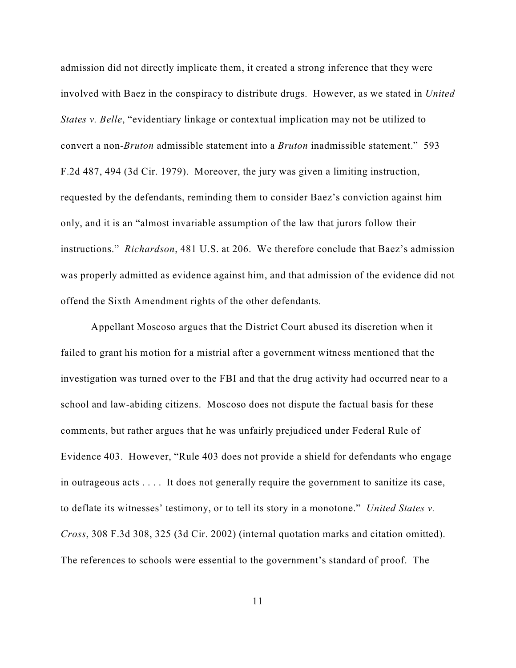admission did not directly implicate them, it created a strong inference that they were involved with Baez in the conspiracy to distribute drugs. However, as we stated in *United States v. Belle*, "evidentiary linkage or contextual implication may not be utilized to convert a non-*Bruton* admissible statement into a *Bruton* inadmissible statement." 593 F.2d 487, 494 (3d Cir. 1979). Moreover, the jury was given a limiting instruction, requested by the defendants, reminding them to consider Baez's conviction against him only, and it is an "almost invariable assumption of the law that jurors follow their instructions." *Richardson*, 481 U.S. at 206. We therefore conclude that Baez's admission was properly admitted as evidence against him, and that admission of the evidence did not offend the Sixth Amendment rights of the other defendants.

Appellant Moscoso argues that the District Court abused its discretion when it failed to grant his motion for a mistrial after a government witness mentioned that the investigation was turned over to the FBI and that the drug activity had occurred near to a school and law-abiding citizens. Moscoso does not dispute the factual basis for these comments, but rather argues that he was unfairly prejudiced under Federal Rule of Evidence 403. However, "Rule 403 does not provide a shield for defendants who engage in outrageous acts . . . . It does not generally require the government to sanitize its case, to deflate its witnesses' testimony, or to tell its story in a monotone." *United States v. Cross*, 308 F.3d 308, 325 (3d Cir. 2002) (internal quotation marks and citation omitted). The references to schools were essential to the government's standard of proof. The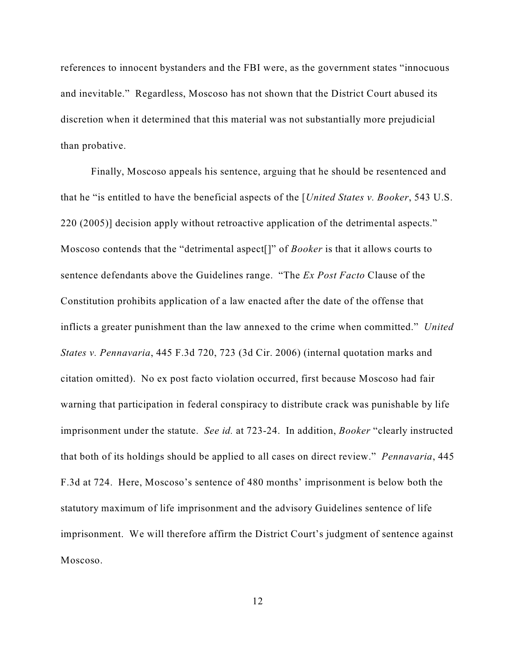references to innocent bystanders and the FBI were, as the government states "innocuous and inevitable." Regardless, Moscoso has not shown that the District Court abused its discretion when it determined that this material was not substantially more prejudicial than probative.

Finally, Moscoso appeals his sentence, arguing that he should be resentenced and that he "is entitled to have the beneficial aspects of the [*United States v. Booker*, 543 U.S. 220 (2005)] decision apply without retroactive application of the detrimental aspects." Moscoso contends that the "detrimental aspect[]" of *Booker* is that it allows courts to sentence defendants above the Guidelines range. "The *Ex Post Facto* Clause of the Constitution prohibits application of a law enacted after the date of the offense that inflicts a greater punishment than the law annexed to the crime when committed." *United States v. Pennavaria*, 445 F.3d 720, 723 (3d Cir. 2006) (internal quotation marks and citation omitted). No ex post facto violation occurred, first because Moscoso had fair warning that participation in federal conspiracy to distribute crack was punishable by life imprisonment under the statute. *See id.* at 723-24. In addition, *Booker* "clearly instructed that both of its holdings should be applied to all cases on direct review." *Pennavaria*, 445 F.3d at 724. Here, Moscoso's sentence of 480 months' imprisonment is below both the statutory maximum of life imprisonment and the advisory Guidelines sentence of life imprisonment. We will therefore affirm the District Court's judgment of sentence against Moscoso.